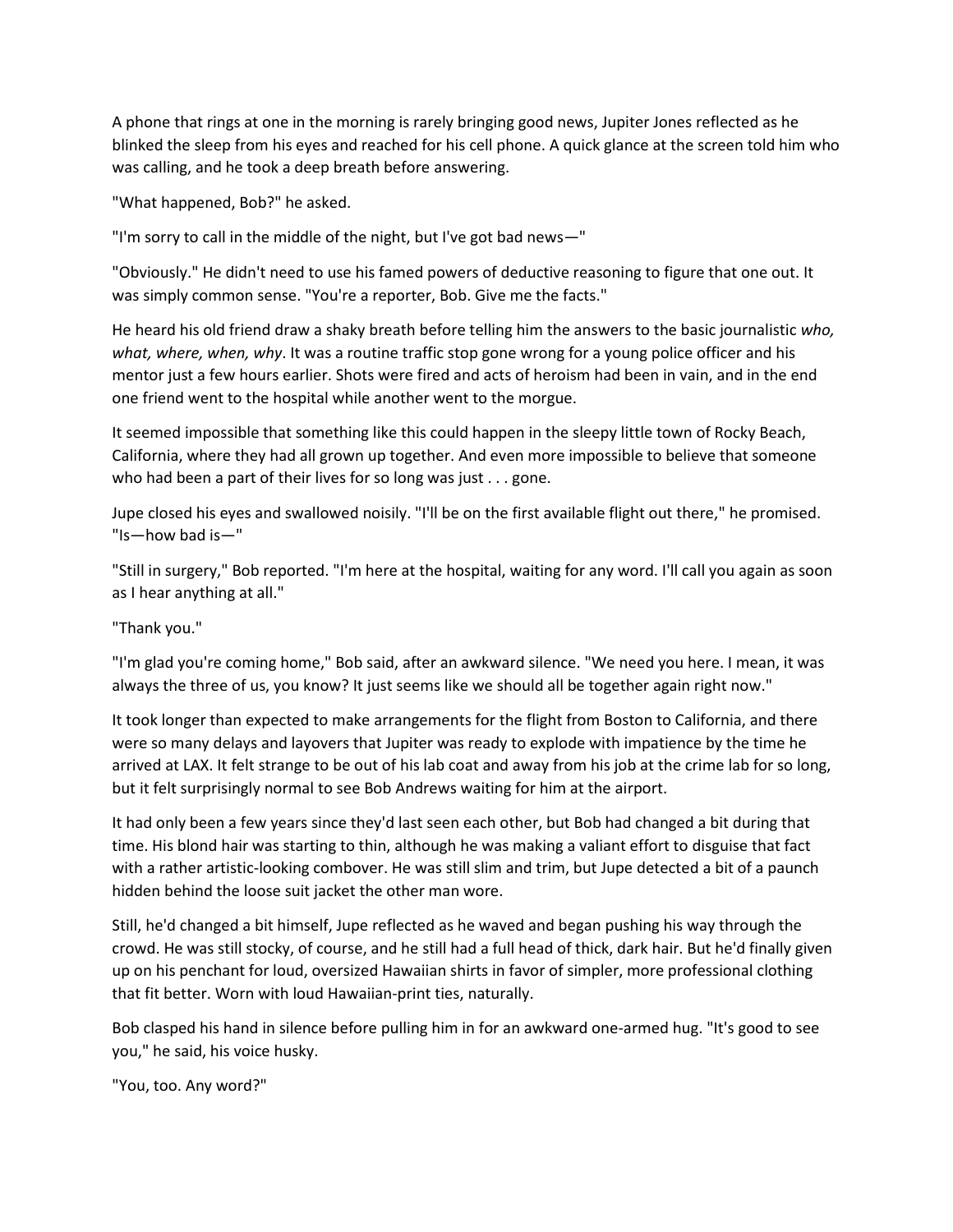A phone that rings at one in the morning is rarely bringing good news, Jupiter Jones reflected as he blinked the sleep from his eyes and reached for his cell phone. A quick glance at the screen told him who was calling, and he took a deep breath before answering.

"What happened, Bob?" he asked.

"I'm sorry to call in the middle of the night, but I've got bad news—"

"Obviously." He didn't need to use his famed powers of deductive reasoning to figure that one out. It was simply common sense. "You're a reporter, Bob. Give me the facts."

He heard his old friend draw a shaky breath before telling him the answers to the basic journalistic *who, what, where, when, why*. It was a routine traffic stop gone wrong for a young police officer and his mentor just a few hours earlier. Shots were fired and acts of heroism had been in vain, and in the end one friend went to the hospital while another went to the morgue.

It seemed impossible that something like this could happen in the sleepy little town of Rocky Beach, California, where they had all grown up together. And even more impossible to believe that someone who had been a part of their lives for so long was just . . . gone.

Jupe closed his eyes and swallowed noisily. "I'll be on the first available flight out there," he promised. "Is—how bad is—"

"Still in surgery," Bob reported. "I'm here at the hospital, waiting for any word. I'll call you again as soon as I hear anything at all."

"Thank you."

"I'm glad you're coming home," Bob said, after an awkward silence. "We need you here. I mean, it was always the three of us, you know? It just seems like we should all be together again right now."

It took longer than expected to make arrangements for the flight from Boston to California, and there were so many delays and layovers that Jupiter was ready to explode with impatience by the time he arrived at LAX. It felt strange to be out of his lab coat and away from his job at the crime lab for so long, but it felt surprisingly normal to see Bob Andrews waiting for him at the airport.

It had only been a few years since they'd last seen each other, but Bob had changed a bit during that time. His blond hair was starting to thin, although he was making a valiant effort to disguise that fact with a rather artistic-looking combover. He was still slim and trim, but Jupe detected a bit of a paunch hidden behind the loose suit jacket the other man wore.

Still, he'd changed a bit himself, Jupe reflected as he waved and began pushing his way through the crowd. He was still stocky, of course, and he still had a full head of thick, dark hair. But he'd finally given up on his penchant for loud, oversized Hawaiian shirts in favor of simpler, more professional clothing that fit better. Worn with loud Hawaiian-print ties, naturally.

Bob clasped his hand in silence before pulling him in for an awkward one-armed hug. "It's good to see you," he said, his voice husky.

"You, too. Any word?"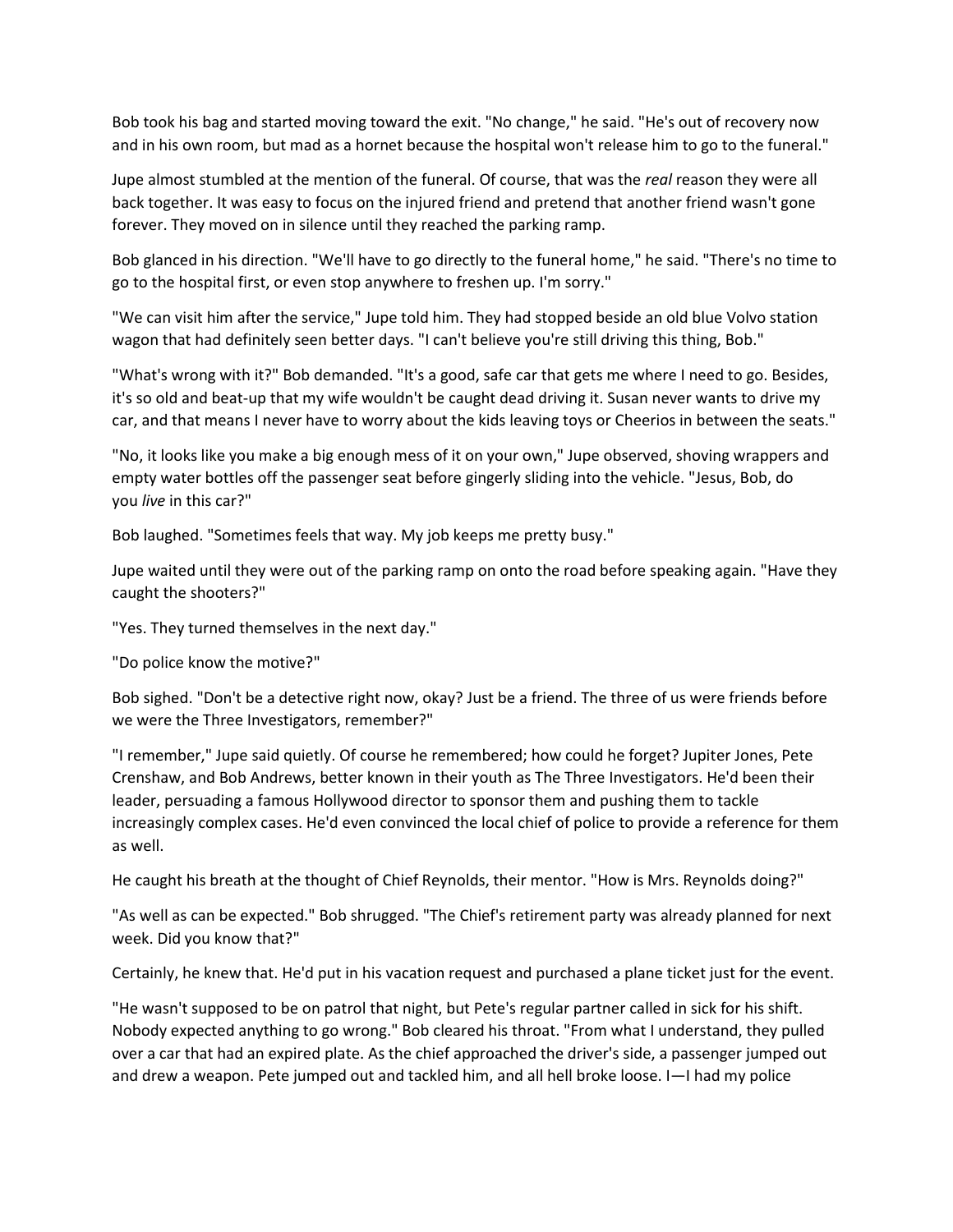Bob took his bag and started moving toward the exit. "No change," he said. "He's out of recovery now and in his own room, but mad as a hornet because the hospital won't release him to go to the funeral."

Jupe almost stumbled at the mention of the funeral. Of course, that was the *real* reason they were all back together. It was easy to focus on the injured friend and pretend that another friend wasn't gone forever. They moved on in silence until they reached the parking ramp.

Bob glanced in his direction. "We'll have to go directly to the funeral home," he said. "There's no time to go to the hospital first, or even stop anywhere to freshen up. I'm sorry."

"We can visit him after the service," Jupe told him. They had stopped beside an old blue Volvo station wagon that had definitely seen better days. "I can't believe you're still driving this thing, Bob."

"What's wrong with it?" Bob demanded. "It's a good, safe car that gets me where I need to go. Besides, it's so old and beat-up that my wife wouldn't be caught dead driving it. Susan never wants to drive my car, and that means I never have to worry about the kids leaving toys or Cheerios in between the seats."

"No, it looks like you make a big enough mess of it on your own," Jupe observed, shoving wrappers and empty water bottles off the passenger seat before gingerly sliding into the vehicle. "Jesus, Bob, do you *live* in this car?"

Bob laughed. "Sometimes feels that way. My job keeps me pretty busy."

Jupe waited until they were out of the parking ramp on onto the road before speaking again. "Have they caught the shooters?"

"Yes. They turned themselves in the next day."

"Do police know the motive?"

Bob sighed. "Don't be a detective right now, okay? Just be a friend. The three of us were friends before we were the Three Investigators, remember?"

"I remember," Jupe said quietly. Of course he remembered; how could he forget? Jupiter Jones, Pete Crenshaw, and Bob Andrews, better known in their youth as The Three Investigators. He'd been their leader, persuading a famous Hollywood director to sponsor them and pushing them to tackle increasingly complex cases. He'd even convinced the local chief of police to provide a reference for them as well.

He caught his breath at the thought of Chief Reynolds, their mentor. "How is Mrs. Reynolds doing?"

"As well as can be expected." Bob shrugged. "The Chief's retirement party was already planned for next week. Did you know that?"

Certainly, he knew that. He'd put in his vacation request and purchased a plane ticket just for the event.

"He wasn't supposed to be on patrol that night, but Pete's regular partner called in sick for his shift. Nobody expected anything to go wrong." Bob cleared his throat. "From what I understand, they pulled over a car that had an expired plate. As the chief approached the driver's side, a passenger jumped out and drew a weapon. Pete jumped out and tackled him, and all hell broke loose. I—I had my police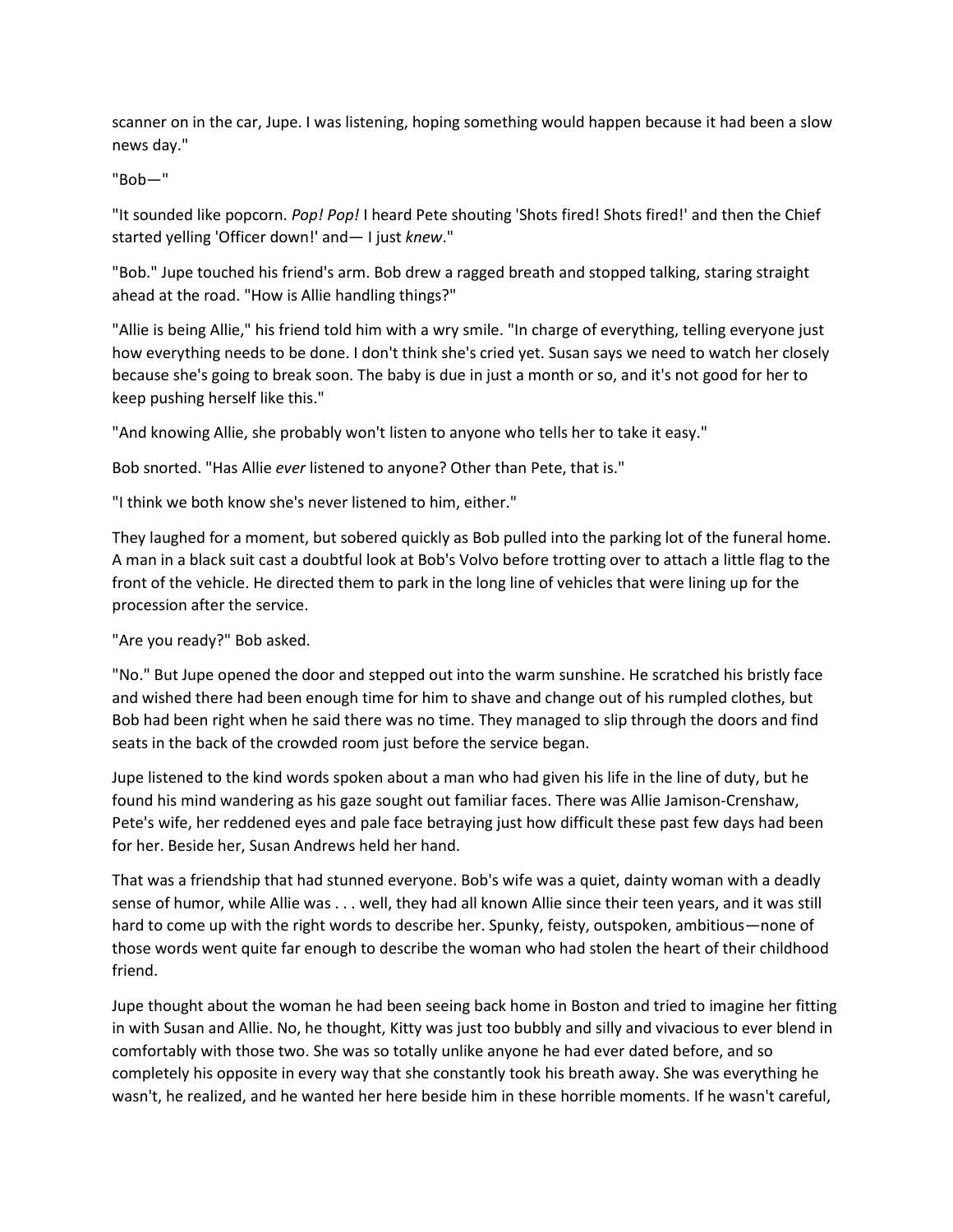scanner on in the car, Jupe. I was listening, hoping something would happen because it had been a slow news day."

## "Bob—"

"It sounded like popcorn. *Pop! Pop!* I heard Pete shouting 'Shots fired! Shots fired!' and then the Chief started yelling 'Officer down!' and— I just *knew*."

"Bob." Jupe touched his friend's arm. Bob drew a ragged breath and stopped talking, staring straight ahead at the road. "How is Allie handling things?"

"Allie is being Allie," his friend told him with a wry smile. "In charge of everything, telling everyone just how everything needs to be done. I don't think she's cried yet. Susan says we need to watch her closely because she's going to break soon. The baby is due in just a month or so, and it's not good for her to keep pushing herself like this."

"And knowing Allie, she probably won't listen to anyone who tells her to take it easy."

Bob snorted. "Has Allie *ever* listened to anyone? Other than Pete, that is."

"I think we both know she's never listened to him, either."

They laughed for a moment, but sobered quickly as Bob pulled into the parking lot of the funeral home. A man in a black suit cast a doubtful look at Bob's Volvo before trotting over to attach a little flag to the front of the vehicle. He directed them to park in the long line of vehicles that were lining up for the procession after the service.

"Are you ready?" Bob asked.

"No." But Jupe opened the door and stepped out into the warm sunshine. He scratched his bristly face and wished there had been enough time for him to shave and change out of his rumpled clothes, but Bob had been right when he said there was no time. They managed to slip through the doors and find seats in the back of the crowded room just before the service began.

Jupe listened to the kind words spoken about a man who had given his life in the line of duty, but he found his mind wandering as his gaze sought out familiar faces. There was Allie Jamison-Crenshaw, Pete's wife, her reddened eyes and pale face betraying just how difficult these past few days had been for her. Beside her, Susan Andrews held her hand.

That was a friendship that had stunned everyone. Bob's wife was a quiet, dainty woman with a deadly sense of humor, while Allie was . . . well, they had all known Allie since their teen years, and it was still hard to come up with the right words to describe her. Spunky, feisty, outspoken, ambitious—none of those words went quite far enough to describe the woman who had stolen the heart of their childhood friend.

Jupe thought about the woman he had been seeing back home in Boston and tried to imagine her fitting in with Susan and Allie. No, he thought, Kitty was just too bubbly and silly and vivacious to ever blend in comfortably with those two. She was so totally unlike anyone he had ever dated before, and so completely his opposite in every way that she constantly took his breath away. She was everything he wasn't, he realized, and he wanted her here beside him in these horrible moments. If he wasn't careful,